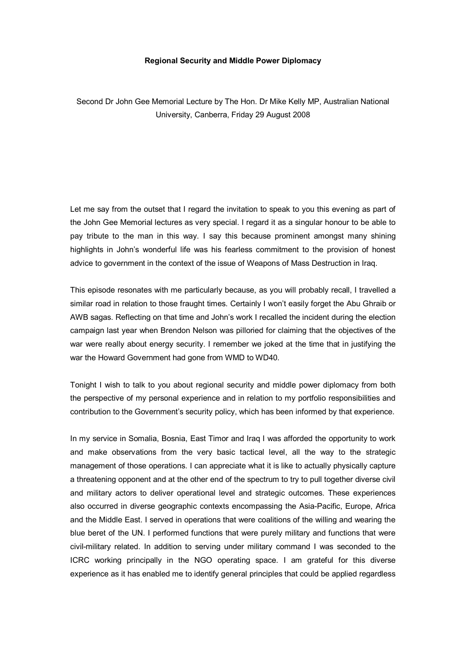## **Regional Security and Middle Power Diplomacy**

Second Dr John Gee Memorial Lecture by The Hon. Dr Mike Kelly MP, Australian National University, Canberra, Friday 29 August 2008

Let me say from the outset that I regard the invitation to speak to you this evening as part of the John Gee Memorial lectures as very special. I regard it as a singular honour to be able to pay tribute to the man in this way. I say this because prominent amongst many shining highlights in John's wonderful life was his fearless commitment to the provision of honest advice to government in the context of the issue of Weapons of Mass Destruction in Iraq.

This episode resonates with me particularly because, as you will probably recall, I travelled a similar road in relation to those fraught times. Certainly I won't easily forget the Abu Ghraib or AWB sagas. Reflecting on that time and John's work I recalled the incident during the election campaign last year when Brendon Nelson was pilloried for claiming that the objectives of the war were really about energy security. I remember we joked at the time that in justifying the war the Howard Government had gone from WMD to WD40.

Tonight I wish to talk to you about regional security and middle power diplomacy from both the perspective of my personal experience and in relation to my portfolio responsibilities and contribution to the Government's security policy, which has been informed by that experience.

In my service in Somalia, Bosnia, East Timor and Iraq I was afforded the opportunity to work and make observations from the very basic tactical level, all the way to the strategic management of those operations. I can appreciate what it is like to actually physically capture a threatening opponent and at the other end of the spectrum to try to pull together diverse civil and military actors to deliver operational level and strategic outcomes. These experiences also occurred in diverse geographic contexts encompassing the Asia-Pacific, Europe, Africa and the Middle East. I served in operations that were coalitions of the willing and wearing the blue beret of the UN. I performed functions that were purely military and functions that were civil-military related. In addition to serving under military command I was seconded to the ICRC working principally in the NGO operating space. I am grateful for this diverse experience as it has enabled me to identify general principles that could be applied regardless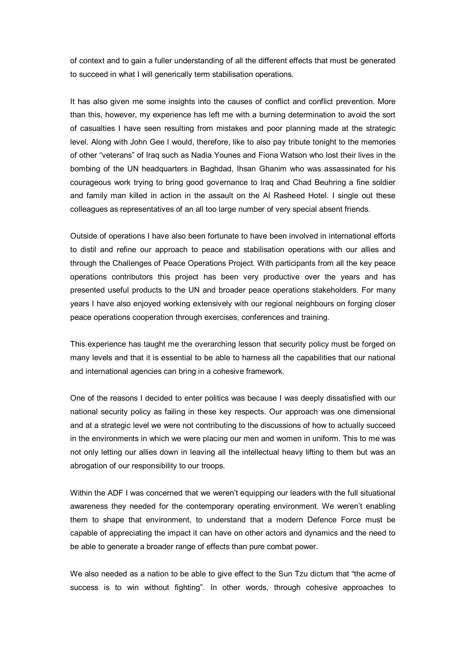of context and to gain a fuller understanding of all the different effects that must be generated to succeed in what I will generically term stabilisation operations.

It has also given me some insights into the causes of conflict and conflict prevention. More than this, however, my experience has left me with a burning determination to avoid the sort of casualties I have seen resulting from mistakes and poor planning made at the strategic level. Along with John Gee I would, therefore, like to also pay tribute tonight to the memories of other "veterans" of Iraq such as Nadia Younes and Fiona Watson who lost their lives in the bombing of the UN headquarters in Baghdad, Ihsan Ghanim who was assassinated for his courageous work trying to bring good governance to Iraq and Chad Beuhring a fine soldier and family man killed in action in the assault on the Al Rasheed Hotel. I single out these colleagues as representatives of an all too large number of very special absent friends.

Outside of operations I have also been fortunate to have been involved in international efforts to distil and refine our approach to peace and stabilisation operations with our allies and through the Challenges of Peace Operations Project. With participants from all the key peace operations contributors this project has been very productive over the years and has presented useful products to the UN and broader peace operations stakeholders. For many years I have also enjoyed working extensively with our regional neighbours on forging closer peace operations cooperation through exercises, conferences and training.

This experience has taught me the overarching lesson that security policy must be forged on many levels and that it is essential to be able to harness all the capabilities that our national and international agencies can bring in a cohesive framework.

One of the reasons I decided to enter politics was because I was deeply dissatisfied with our national security policy as failing in these key respects. Our approach was one dimensional and at a strategic level we were not contributing to the discussions of how to actually succeed in the environments in which we were placing our men and women in uniform. This to me was not only letting our allies down in leaving all the intellectual heavy lifting to them but was an abrogation of our responsibility to our troops.

Within the ADF I was concerned that we weren't equipping our leaders with the full situational awareness they needed for the contemporary operating environment. We weren't enabling them to shape that environment, to understand that a modern Defence Force must be capable of appreciating the impact it can have on other actors and dynamics and the need to be able to generate a broader range of effects than pure combat power.

We also needed as a nation to be able to give effect to the Sun Tzu dictum that "the acme of success is to win without fighting". In other words, through cohesive approaches to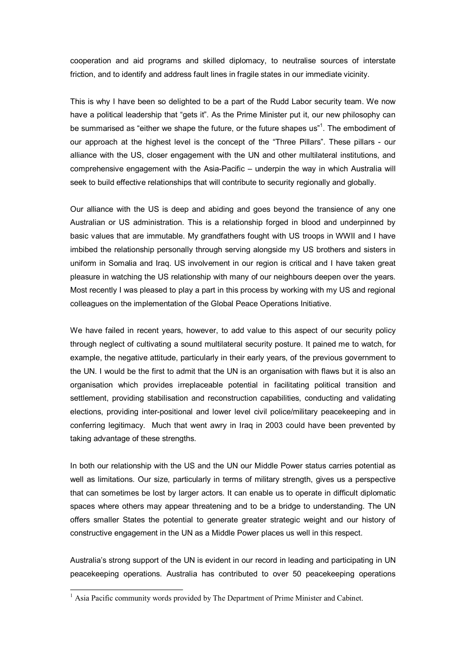cooperation and aid programs and skilled diplomacy, to neutralise sources of interstate friction, and to identify and address fault lines in fragile states in our immediate vicinity.

This is why I have been so delighted to be a part of the Rudd Labor security team. We now have a political leadership that "gets it". As the Prime Minister put it, our new philosophy can be summarised as "either we shape the future, or the future shapes us"<sup>1</sup>. The embodiment of our approach at the highest level is the concept of the "Three Pillars". These pillars - our alliance with the US, closer engagement with the UN and other multilateral institutions, and comprehensive engagement with the Asia-Pacific – underpin the way in which Australia will seek to build effective relationships that will contribute to security regionally and globally.

Our alliance with the US is deep and abiding and goes beyond the transience of any one Australian or US administration. This is a relationship forged in blood and underpinned by basic values that are immutable. My grandfathers fought with US troops in WWII and I have imbibed the relationship personally through serving alongside my US brothers and sisters in uniform in Somalia and Iraq. US involvement in our region is critical and I have taken great pleasure in watching the US relationship with many of our neighbours deepen over the years. Most recently I was pleased to play a part in this process by working with my US and regional colleagues on the implementation of the Global Peace Operations Initiative.

We have failed in recent years, however, to add value to this aspect of our security policy through neglect of cultivating a sound multilateral security posture. It pained me to watch, for example, the negative attitude, particularly in their early years, of the previous government to the UN. I would be the first to admit that the UN is an organisation with flaws but it is also an organisation which provides irreplaceable potential in facilitating political transition and settlement, providing stabilisation and reconstruction capabilities, conducting and validating elections, providing inter-positional and lower level civil police/military peacekeeping and in conferring legitimacy. Much that went awry in Iraq in 2003 could have been prevented by taking advantage of these strengths.

In both our relationship with the US and the UN our Middle Power status carries potential as well as limitations. Our size, particularly in terms of military strength, gives us a perspective that can sometimes be lost by larger actors. It can enable us to operate in difficult diplomatic spaces where others may appear threatening and to be a bridge to understanding. The UN offers smaller States the potential to generate greater strategic weight and our history of constructive engagement in the UN as a Middle Power places us well in this respect.

Australia's strong support of the UN is evident in our record in leading and participating in UN peacekeeping operations. Australia has contributed to over 50 peacekeeping operations

<sup>&</sup>lt;sup>1</sup> Asia Pacific community words provided by The Department of Prime Minister and Cabinet.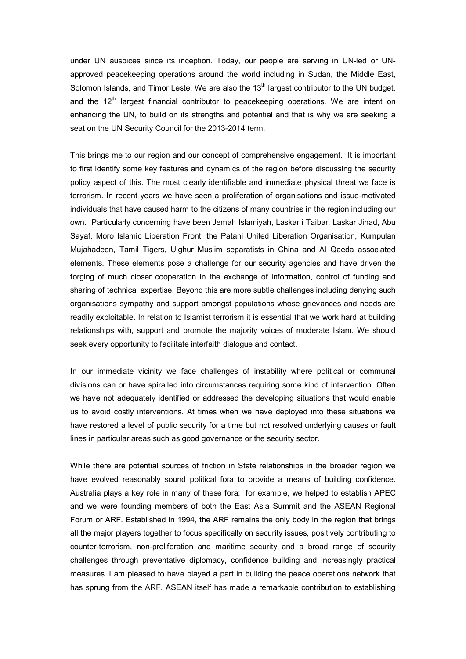under UN auspices since its inception. Today, our people are serving in UN-led or UNapproved peacekeeping operations around the world including in Sudan, the Middle East, Solomon Islands, and Timor Leste. We are also the 13<sup>th</sup> largest contributor to the UN budget, and the 12<sup>th</sup> largest financial contributor to peacekeeping operations. We are intent on enhancing the UN, to build on its strengths and potential and that is why we are seeking a seat on the UN Security Council for the 2013-2014 term.

This brings me to our region and our concept of comprehensive engagement. It is important to first identify some key features and dynamics of the region before discussing the security policy aspect of this. The most clearly identifiable and immediate physical threat we face is terrorism. In recent years we have seen a proliferation of organisations and issuemotivated individuals that have caused harm to the citizens of many countries in the region including our own. Particularly concerning have been Jemah Islamiyah, Laskar i Taibar, Laskar Jihad, Abu Sayaf, Moro Islamic Liberation Front, the Patani United Liberation Organisation, Kumpulan Mujahadeen, Tamil Tigers, Uighur Muslim separatists in China and Al Qaeda associated elements. These elements pose a challenge for our security agencies and have driven the forging of much closer cooperation in the exchange of information, control of funding and sharing of technical expertise. Beyond this are more subtle challenges including denying such organisations sympathy and support amongst populations whose grievances and needs are readily exploitable. In relation to Islamist terrorism it is essential that we work hard at building relationships with, support and promote the majority voices of moderate Islam. We should seek every opportunity to facilitate interfaith dialogue and contact.

In our immediate vicinity we face challenges of instability where political or communal divisions can or have spiralled into circumstances requiring some kind of intervention. Often we have not adequately identified or addressed the developing situations that would enable us to avoid costly interventions. At times when we have deployed into these situations we have restored a level of public security for a time but not resolved underlying causes or fault lines in particular areas such as good governance or the security sector.

While there are potential sources of friction in State relationships in the broader region we have evolved reasonably sound political fora to provide a means of building confidence. Australia plays a key role in many of these fora: for example, we helped to establish APEC and we were founding members of both the East Asia Summit and the ASEAN Regional Forum or ARF. Established in 1994, the ARF remains the only body in the region that brings all the major players together to focus specifically on security issues, positively contributing to counter-terrorism, non-proliferation and maritime security and a broad range of security challenges through preventative diplomacy, confidence building and increasingly practical measures. I am pleased to have played a part in building the peace operations network that has sprung from the ARF. ASEAN itself has made a remarkable contribution to establishing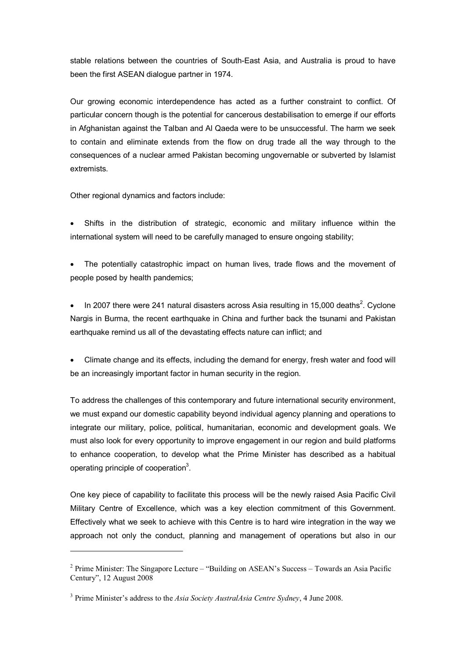stable relations between the countries of South-East Asia, and Australia is proud to have been the first ASEAN dialogue partner in 1974.

Our growing economic interdependence has acted as a further constraint to conflict. Of particular concern though is the potential for cancerous destabilisation to emerge if our efforts in Afghanistan against the Talban and Al Qaeda were to be unsuccessful. The harm we seek to contain and eliminate extends from the flow on drug trade all the way through to the consequences of a nuclear armed Pakistan becoming ungovernable or subverted by Islamist extremists.

Other regional dynamics and factors include:

· Shifts in the distribution of strategic, economic and military influence within the international system will need to be carefully managed to ensure ongoing stability;

The potentially catastrophic impact on human lives, trade flows and the movement of people posed by health pandemics;

• In 2007 there were 241 natural disasters across Asia resulting in 15,000 deaths<sup>2</sup>. Cyclone Nargis in Burma, the recent earthquake in China and further back the tsunami and Pakistan earthquake remind us all of the devastating effects nature can inflict; and

· Climate change and its effects, including the demand for energy, fresh water and food will be an increasingly important factor in human security in the region.

To address the challenges of this contemporary and future international security environment, we must expand our domestic capability beyond individual agency planning and operations to integrate our military, police, political, humanitarian, economic and development goals. We must also look for every opportunity to improve engagement in our region and build platforms to enhance cooperation, to develop what the Prime Minister has described as a habitual operating principle of cooperation<sup>3</sup>.

One key piece of capability to facilitate this process will be the newly raised Asia Pacific Civil Military Centre of Excellence, which was a key election commitment of this Government. Effectively what we seek to achieve with this Centre is to hard wire integration in the way we approach not only the conduct, planning and management of operations but also in our

<sup>2</sup> Prime Minister: The Singapore Lecture – "Building on ASEAN's Success – Towards an Asia Pacific Century", 12 August 2008

<sup>3</sup> Prime Minister's address to the *Asia Society AustralAsia Centre Sydney*, 4 June 2008.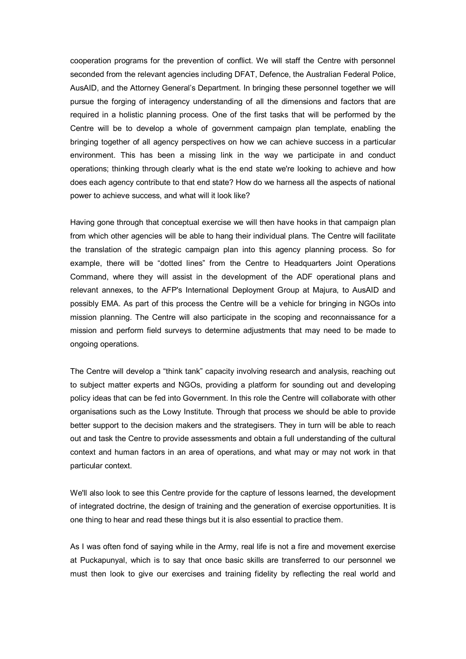cooperation programs for the prevention of conflict. We will staff the Centre with personnel seconded from the relevant agencies including DFAT, Defence, the Australian Federal Police, AusAID, and the Attorney General's Department. In bringing these personnel together we will pursue the forging of interagency understanding of all the dimensions and factors that are required in a holistic planning process. One of the first tasks that will be performed by the Centre will be to develop a whole of government campaign plan template, enabling the bringing together of all agency perspectives on how we can achieve success in a particular environment. This has been a missing link in the way we participate in and conduct operations; thinking through clearly what is the end state we're looking to achieve and how does each agency contribute to that end state? How do we harness all the aspects of national power to achieve success, and what will it look like?

Having gone through that conceptual exercise we will then have hooks in that campaign plan from which other agencies will be able to hang their individual plans. The Centre will facilitate the translation of the strategic campaign plan into this agency planning process. So for example, there will be "dotted lines" from the Centre to Headquarters Joint Operations Command, where they will assist in the development of the ADF operational plans and relevant annexes, to the AFP's International Deployment Group at Majura, to AusAID and possibly EMA. As part of this process the Centre will be a vehicle for bringing in NGOs into mission planning. The Centre will also participate in the scoping and reconnaissance for a mission and perform field surveys to determine adjustments that may need to be made to ongoing operations.

The Centre will develop a "think tank" capacity involving research and analysis, reaching out to subject matter experts and NGOs, providing a platform for sounding out and developing policy ideas that can be fed into Government. In this role the Centre will collaborate with other organisations such as the Lowy Institute. Through that process we should be able to provide better support to the decision makers and the strategisers. They in turn will be able to reach out and task the Centre to provide assessments and obtain a full understanding of the cultural context and human factors in an area of operations, and what may or may not work in that particular context.

We'll also look to see this Centre provide for the capture of lessons learned, the development of integrated doctrine, the design of training and the generation of exercise opportunities. It is one thing to hear and read these things but it is also essential to practice them.

As I was often fond of saying while in the Army, real life is not a fire and movement exercise at Puckapunyal, which is to say that once basic skills are transferred to our personnel we must then look to give our exercises and training fidelity by reflecting the real world and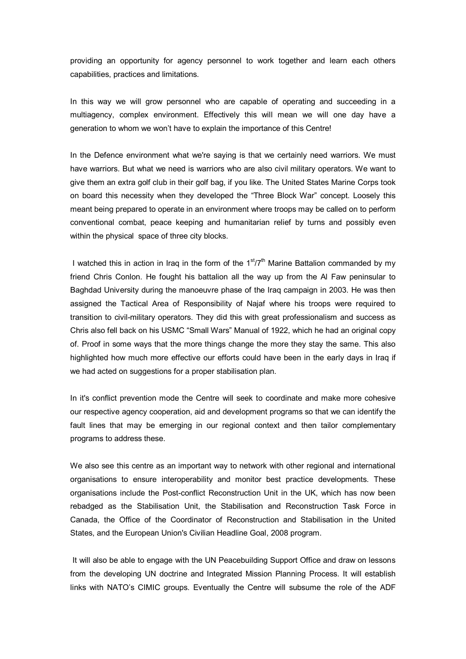providing an opportunity for agency personnel to work together and learn each others capabilities, practices and limitations.

In this way we will grow personnel who are capable of operating and succeeding in a multiagency, complex environment. Effectively this will mean we will one day have a generation to whom we won't have to explain the importance of this Centre!

In the Defence environment what we're saying is that we certainly need warriors. We must have warriors. But what we need is warriors who are also civil military operators. We want to give them an extra golf club in their golf bag, if you like. The United States Marine Corps took on board this necessity when they developed the "Three Block War" concept. Loosely this meant being prepared to operate in an environment where troops may be called on to perform conventional combat, peace keeping and humanitarian relief by turns and possibly even within the physical space of three city blocks.

I watched this in action in Iraq in the form of the  $1<sup>st</sup>/7<sup>th</sup>$  Marine Battalion commanded by my friend Chris Conlon. He fought his battalion all the way up from the Al Faw peninsular to Baghdad University during the manoeuvre phase of the Iraq campaign in 2003. He was then assigned the Tactical Area of Responsibility of Najaf where his troops were required to transition to civil-military operators. They did this with great professionalism and success as Chris also fell back on his USMC "Small Wars" Manual of 1922, which he had an original copy of. Proof in some ways that the more things change the more they stay the same. This also highlighted how much more effective our efforts could have been in the early days in Iraq if we had acted on suggestions for a proper stabilisation plan.

In it's conflict prevention mode the Centre will seek to coordinate and make more cohesive our respective agency cooperation, aid and development programs so that we can identify the fault lines that may be emerging in our regional context and then tailor complementary programs to address these.

We also see this centre as an important way to network with other regional and international organisations to ensure interoperability and monitor best practice developments. These organisations include the Post-conflict Reconstruction Unit in the UK, which has now been rebadged as the Stabilisation Unit, the Stabilisation and Reconstruction Task Force in Canada, the Office of the Coordinator of Reconstruction and Stabilisation in the United States, and the European Union's Civilian Headline Goal, 2008 program.

It will also be able to engage with the UN Peacebuilding Support Office and draw on lessons from the developing UN doctrine and Integrated Mission Planning Process. It will establish links with NATO's CIMIC groups. Eventually the Centre will subsume the role of the ADF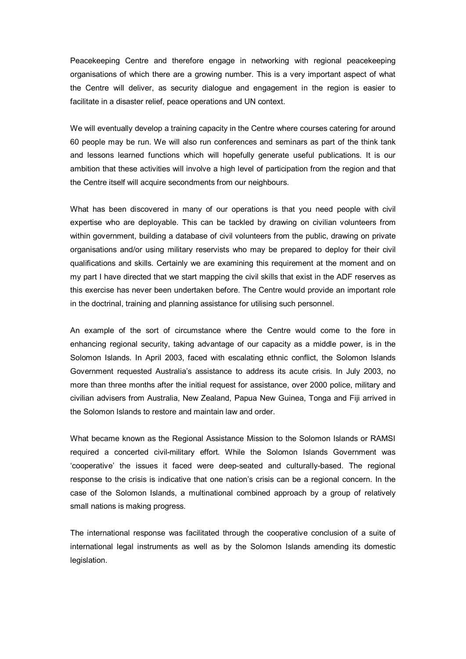Peacekeeping Centre and therefore engage in networking with regional peacekeeping organisations of which there are a growing number. This is a very important aspect of what the Centre will deliver, as security dialogue and engagement in the region is easier to facilitate in a disaster relief, peace operations and UN context.

We will eventually develop a training capacity in the Centre where courses catering for around 60 people may be run. We will also run conferences and seminars as part of the think tank and lessons learned functions which will hopefully generate useful publications. It is our ambition that these activities will involve a high level of participation from the region and that the Centre itself will acquire secondments from our neighbours.

What has been discovered in many of our operations is that you need people with civil expertise who are deployable. This can be tackled by drawing on civilian volunteers from within government, building a database of civil volunteers from the public, drawing on private organisations and/or using military reservists who may be prepared to deploy for their civil qualifications and skills. Certainly we are examining this requirement at the moment and on my part I have directed that we start mapping the civil skills that exist in the ADF reserves as this exercise has never been undertaken before. The Centre would provide an important role in the doctrinal, training and planning assistance for utilising such personnel.

An example of the sort of circumstance where the Centre would come to the fore in enhancing regional security, taking advantage of our capacity as a middle power, is in the Solomon Islands. In April 2003, faced with escalating ethnic conflict, the Solomon Islands Government requested Australia's assistance to address its acute crisis. In July 2003, no more than three months after the initial request for assistance, over 2000 police, military and civilian advisers from Australia, New Zealand, Papua New Guinea, Tonga and Fiji arrived in the Solomon Islands to restore and maintain law and order.

What became known as the Regional Assistance Mission to the Solomon Islands or RAMSI required a concerted civil-military effort. While the Solomon Islands Government was 'cooperative' the issues it faced were deep-seated and culturally-based. The regional response to the crisis is indicative that one nation's crisis can be a regional concern. In the case of the Solomon Islands, a multinational combined approach by a group of relatively small nations is making progress.

The international response was facilitated through the cooperative conclusion of a suite of international legal instruments as well as by the Solomon Islands amending its domestic legislation.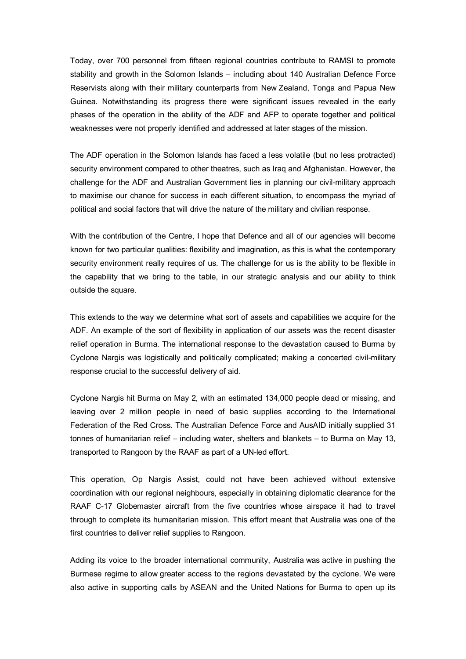Today, over 700 personnel from fifteen regional countries contribute to RAMSI to promote stability and growth in the Solomon Islands – including about 140 Australian Defence Force Reservists along with their military counterparts from New Zealand, Tonga and Papua New Guinea. Notwithstanding its progress there were significant issues revealed in the early phases of the operation in the ability of the ADF and AFP to operate together and political weaknesses were not properly identified and addressed at later stages of the mission.

The ADF operation in the Solomon Islands has faced a less volatile (but no less protracted) security environment compared to other theatres, such as Iraq and Afghanistan. However, the challenge for the ADF and Australian Government lies in planning our civil-military approach to maximise our chance for success in each different situation, to encompass the myriad of political and social factors that will drive the nature of the military and civilian response.

With the contribution of the Centre, I hope that Defence and all of our agencies will become known for two particular qualities: flexibility and imagination, as this is what the contemporary security environment really requires of us. The challenge for us is the ability to be flexible in the capability that we bring to the table, in our strategic analysis and our ability to think outside the square.

This extends to the way we determine what sort of assets and capabilities we acquire for the ADF. An example of the sort of flexibility in application of our assets was the recent disaster relief operation in Burma. The international response to the devastation caused to Burma by Cyclone Nargis was logistically and politically complicated; making a concerted civil-military response crucial to the successful delivery of aid.

Cyclone Nargis hit Burma on May 2, with an estimated 134,000 people dead or missing, and leaving over 2 million people in need of basic supplies according to the International Federation of the Red Cross. The Australian Defence Force and AusAID initially supplied 31 tonnes of humanitarian relief – including water, shelters and blankets – to Burma on May 13, transported to Rangoon by the RAAF as part of a UN-led effort.

This operation, Op Nargis Assist, could not have been achieved without extensive coordination with our regional neighbours, especially in obtaining diplomatic clearance for the RAAF C-17 Globemaster aircraft from the five countries whose airspace it had to travel through to complete its humanitarian mission. This effort meant that Australia was one of the first countries to deliver relief supplies to Rangoon.

Adding its voice to the broader international community, Australia was active in pushing the Burmese regime to allow greater access to the regions devastated by the cyclone. We were also active in supporting calls by ASEAN and the United Nations for Burma to open up its